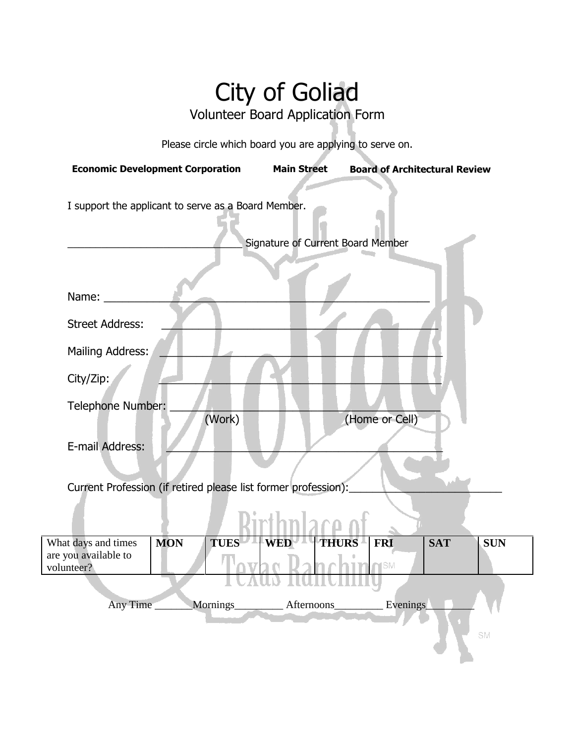## City of Goliad Volunteer Board Application Form

Please circle which board you are applying to serve on.

| <b>Economic Development Corporation</b>                                                | <b>Main Street</b>  | <b>Board of Architectural Review</b>          |  |  |  |  |  |
|----------------------------------------------------------------------------------------|---------------------|-----------------------------------------------|--|--|--|--|--|
| I support the applicant to serve as a Board Member.                                    |                     |                                               |  |  |  |  |  |
| Signature of Current Board Member                                                      |                     |                                               |  |  |  |  |  |
|                                                                                        |                     |                                               |  |  |  |  |  |
| Name:                                                                                  |                     |                                               |  |  |  |  |  |
| <b>Street Address:</b>                                                                 |                     |                                               |  |  |  |  |  |
| <b>Mailing Address:</b>                                                                |                     |                                               |  |  |  |  |  |
| City/Zip:                                                                              |                     |                                               |  |  |  |  |  |
| Telephone Number:                                                                      |                     |                                               |  |  |  |  |  |
| (Work)                                                                                 |                     | (Home or Cell)                                |  |  |  |  |  |
| E-mail Address:                                                                        |                     |                                               |  |  |  |  |  |
|                                                                                        |                     |                                               |  |  |  |  |  |
| Current Profession (if retired please list former profession):                         |                     |                                               |  |  |  |  |  |
|                                                                                        |                     |                                               |  |  |  |  |  |
| <b>TUES</b><br><b>MON</b><br>What days and times<br>are you available to<br>volunteer? | <b>THURS</b><br>WED | <b>SAT</b><br><b>FRI</b><br><b>SUN</b><br>1SM |  |  |  |  |  |
|                                                                                        | <b>CAUS HUHCH</b>   |                                               |  |  |  |  |  |
| Mornings_<br>Any Time                                                                  | _Afternoons_        | Evenings                                      |  |  |  |  |  |
|                                                                                        |                     | <b>SM</b>                                     |  |  |  |  |  |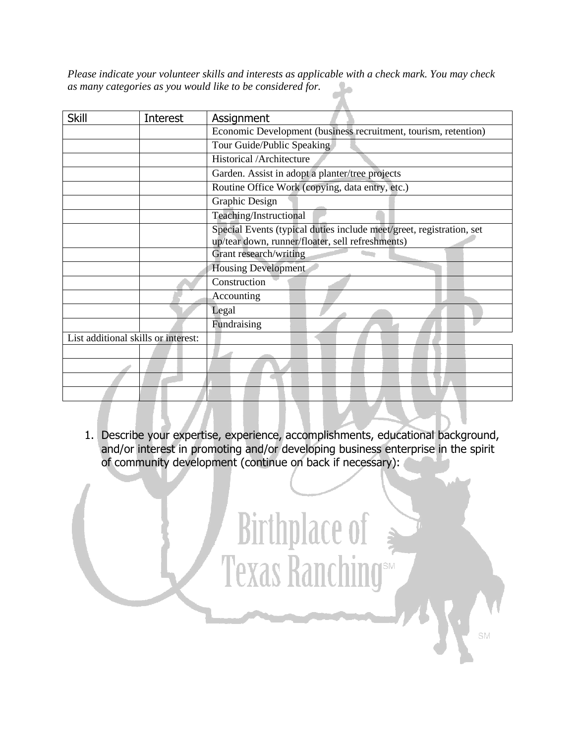*Please indicate your volunteer skills and interests as applicable with a check mark. You may check as many categories as you would like to be considered for.*

| <b>Skill</b>                        | Interest | Assignment                                                                                                               |  |  |  |  |
|-------------------------------------|----------|--------------------------------------------------------------------------------------------------------------------------|--|--|--|--|
|                                     |          | Economic Development (business recruitment, tourism, retention)                                                          |  |  |  |  |
|                                     |          | Tour Guide/Public Speaking                                                                                               |  |  |  |  |
|                                     |          | Historical /Architecture                                                                                                 |  |  |  |  |
|                                     |          | Garden. Assist in adopt a planter/tree projects                                                                          |  |  |  |  |
|                                     |          | Routine Office Work (copying, data entry, etc.)                                                                          |  |  |  |  |
|                                     |          | Graphic Design                                                                                                           |  |  |  |  |
|                                     |          | Teaching/Instructional                                                                                                   |  |  |  |  |
|                                     |          | Special Events (typical duties include meet/greet, registration, set<br>up/tear down, runner/floater, sell refreshments) |  |  |  |  |
|                                     |          | Grant research/writing<br><b>Housing Development</b>                                                                     |  |  |  |  |
|                                     |          |                                                                                                                          |  |  |  |  |
|                                     |          | Construction                                                                                                             |  |  |  |  |
|                                     |          | Accounting                                                                                                               |  |  |  |  |
|                                     |          | Legal                                                                                                                    |  |  |  |  |
|                                     |          | Fundraising                                                                                                              |  |  |  |  |
| List additional skills or interest: |          |                                                                                                                          |  |  |  |  |
|                                     |          |                                                                                                                          |  |  |  |  |
|                                     |          |                                                                                                                          |  |  |  |  |
|                                     |          |                                                                                                                          |  |  |  |  |
|                                     |          |                                                                                                                          |  |  |  |  |

1. Describe your expertise, experience, accomplishments, educational background, and/or interest in promoting and/or developing business enterprise in the spirit of community development (continue on back if necessary):

Birthplace of

SM